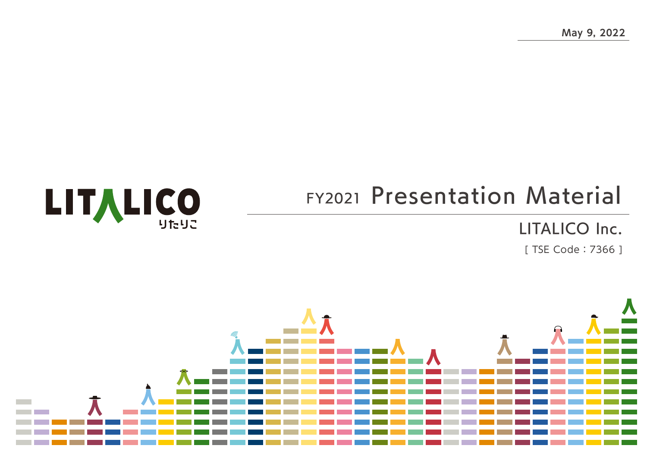**May 9, 2022**

# FY2021 Presentation Material

### LITALICO Inc.

[ TSE Code:7366 ]



**LITALICO**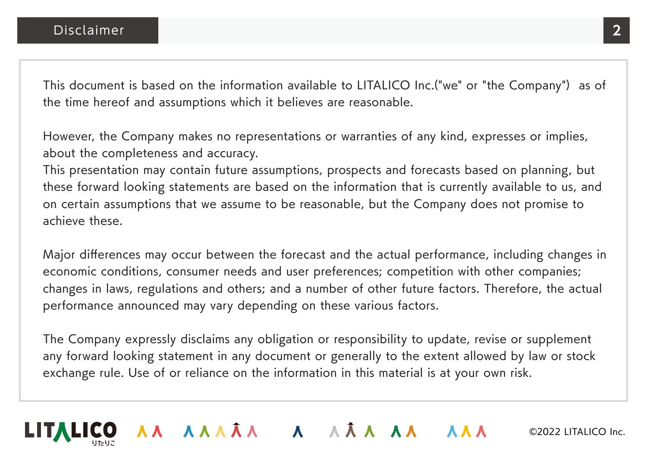This document is based on the information available to LITALICO Inc.("we" or "the Company") as of the time hereof and assumptions which it believes are reasonable.

However, the Company makes no representations or warranties of any kind, expresses or implies, about the completeness and accuracy.

This presentation may contain future assumptions, prospects and forecasts based on planning, but these forward looking statements are based on the information that is currently available to us, and on certain assumptions that we assume to be reasonable, but the Company does not promise to achieve these.

Major differences may occur between the forecast and the actual performance, including changes in economic conditions, consumer needs and user preferences; competition with other companies; changes in laws, regulations and others; and a number of other future factors. Therefore, the actual performance announced may vary depending on these various factors.

The Company expressly disclaims any obligation or responsibility to update, revise or supplement any forward looking statement in any document or generally to the extent allowed by law or stock exchange rule. Use of or reliance on the information in this material is at your own risk.

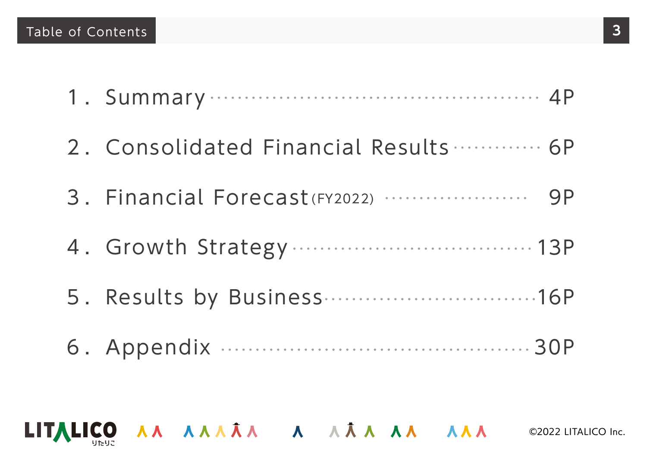- 1.Summary 4P
- 2.Consolidated Financial Results 6P
- 3.Financial Forecast (FY2022) 9P
- 4.Growth Strategy 13P
- 5.Results by Business 16P
- 6.Appendix 30P

LITALICO AA AAAÂA A AÂA AA AAA ©2022 LITALICO Inc.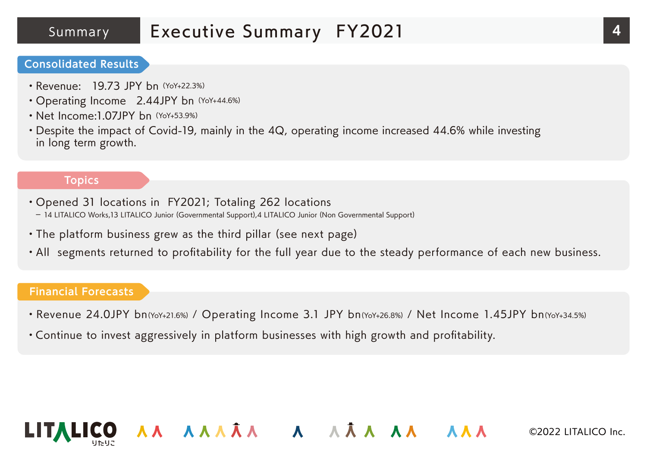### Summary Executive Summary FY2021 **4**

#### **Consolidated Results**

- Revenue: 19.73 JPY bn (YoY+22.3%)
- Operating Income 2.44JPY bn (YoY+44.6%)
- Net Income: 1.07JPY bn (YoY+53.9%)
- ・Despite the impact of Covid-19, mainly in the 4Q, operating income increased 44.6% while investing in long term growth.

#### **Topics**

- ・Opened 31 locations in FY2021; Totaling 262 locations - 14 LITALICO Works,13 LITALICO Junior (Governmental Support),4 LITALICO Junior (Non Governmental Support)
- ・The platform business grew as the third pillar (see next page)
- ・All segments returned to profitability for the full year due to the steady performance of each new business.

#### **Financial Forecasts**

・Revenue 24.0JPY bn(YoY+21.6%) / Operating Income 3.1 JPY bn(YoY+26.8%) / Net Income 1.45JPY bn(YoY+34.5%)

AA AAAÂA A AÂA AA AAA

・Continue to invest aggressively in platform businesses with high growth and profitability.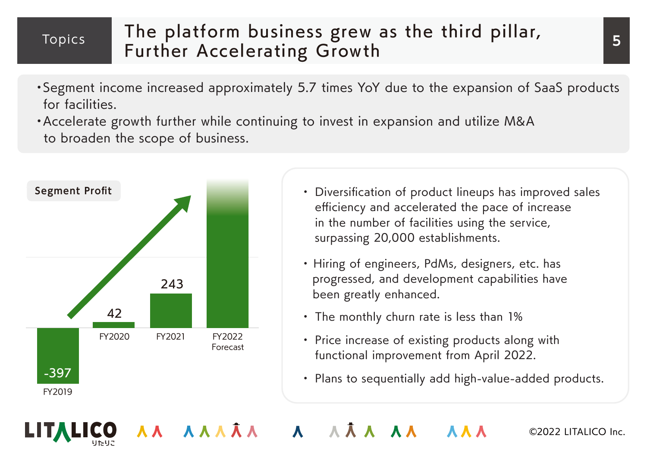### Topics

### The platform business grew as the third pillar, Further Accelerating Growth

- ・Segment income increased approximately 5.7 times YoY due to the expansion of SaaS products for facilities.
- ・Accelerate growth further while continuing to invest in expansion and utilize M&A to broaden the scope of business.



- ・ Diversification of product lineups has improved sales efficiency and accelerated the pace of increase in the number of facilities using the service, surpassing 20,000 establishments.
- ・ Hiring of engineers, PdMs, designers, etc. has progressed, and development capabilities have been greatly enhanced.
- ・ The monthly churn rate is less than 1%
- ・ Price increase of existing products along with functional improvement from April 2022.
- ・ Plans to sequentially add high-value-added products.

AA AAAA A AAA AA **AAA**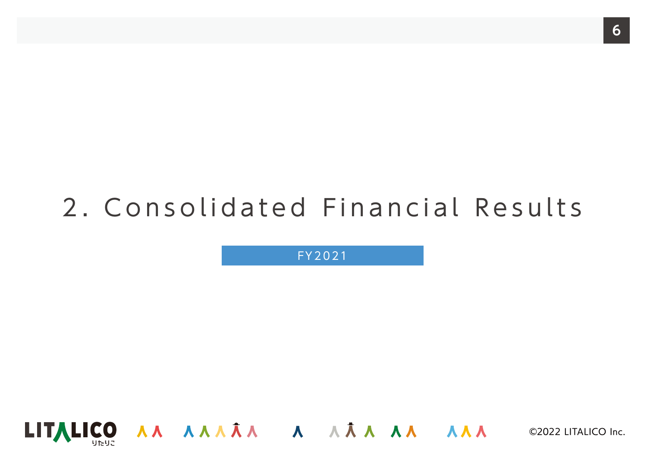# 2.Consolidated Financial Results

FY2021

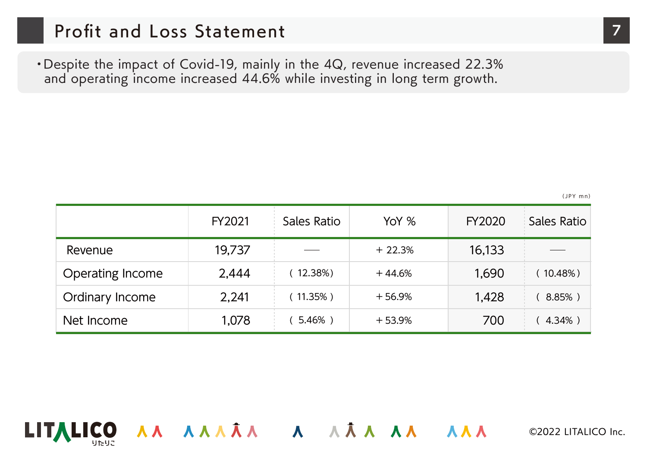### Profit and Loss Statement **7**

・Despite the impact of Covid-19, mainly in the 4Q, revenue increased 22.3% and operating income increased 44.6% while investing in long term growth.

(JPY mn)

|                         | FY2021 | Sales Ratio | YoY %    | FY2020 | Sales Ratio |
|-------------------------|--------|-------------|----------|--------|-------------|
| Revenue                 | 19,737 |             | $+22.3%$ | 16,133 |             |
| <b>Operating Income</b> | 2,444  | 12.38%)     | $+44.6%$ | 1,690  | 10.48%)     |
| <b>Ordinary Income</b>  | 2,241  | $(11.35\%)$ | $+56.9%$ | 1,428  | 8.85%)      |
| Net Income              | 1,078  | $5.46%$ )   | $+53.9%$ | 700    | 4.34%)      |

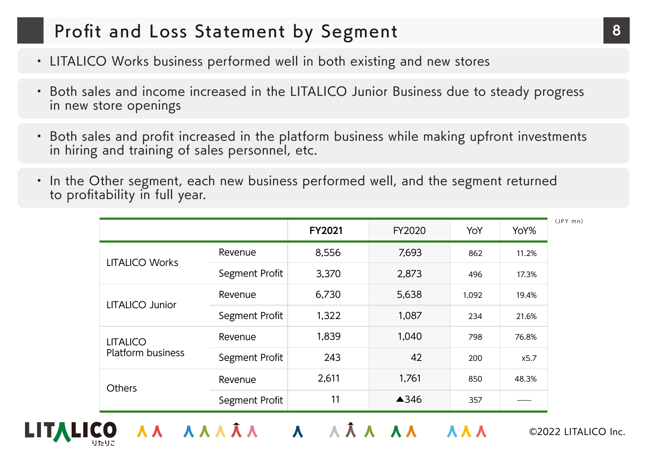### Profit and Loss Statement by Segment **8**

- ・ LITALICO Works business performed well in both existing and new stores
- ・ Both sales and income increased in the LITALICO Junior Business due to steady progress in new store openings
- ・ Both sales and profit increased in the platform business while making upfront investments in hiring and training of sales personnel, etc.
- ・ In the Other segment, each new business performed well, and the segment returned to profitability in full year.

|                                             |                | <b>FY2021</b> | FY2020 | YoY   | YoY%  |
|---------------------------------------------|----------------|---------------|--------|-------|-------|
| <b>LITALICO Works</b>                       | Revenue        | 8,556         | 7,693  | 862   | 11.2% |
|                                             | Segment Profit | 3,370         | 2,873  | 496   | 17.3% |
| <b>LITALICO Junior</b>                      | Revenue        | 6,730         | 5,638  | 1,092 | 19.4% |
|                                             | Segment Profit | 1,322         | 1,087  | 234   | 21.6% |
| <b>LITALICO</b><br><b>Platform business</b> | Revenue        | 1,839         | 1,040  | 798   | 76.8% |
|                                             | Segment Profit | 243           | 42     | 200   | x5.7  |
| <b>Others</b>                               | Revenue        | 2,611         | 1,761  | 850   | 48.3% |
|                                             | Segment Profit | 11            | ▲346   | 357   |       |

AA AAAÂA A AÂA AA AAA

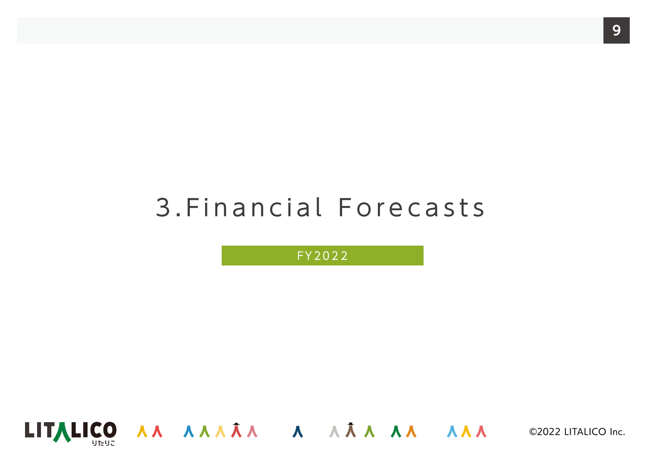# 3.Financial Forecasts

FY2022

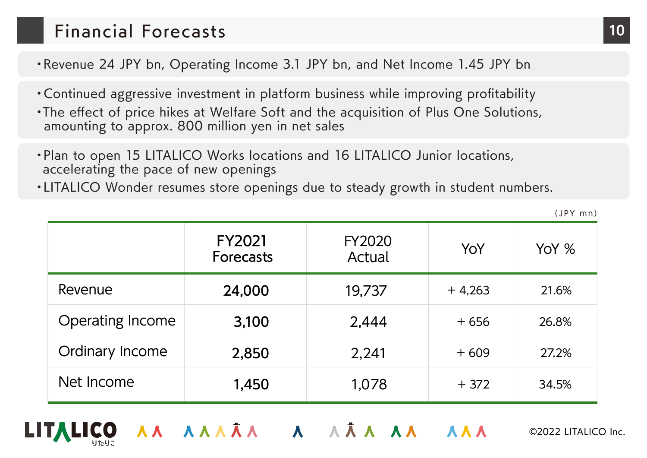### Financial Forecasts **10**

・Revenue 24 JPY bn, Operating Income 3.1 JPY bn, and Net Income 1.45 JPY bn

- ・Continued aggressive investment in platform business while improving profitability
- ・The effect of price hikes at Welfare Soft and the acquisition of Plus One Solutions, amounting to approx. 800 million yen in net sales
- ・Plan to open 15 LITALICO Works locations and 16 LITALICO Junior locations, accelerating the pace of new openings
- ・LITALICO Wonder resumes store openings due to steady growth in student numbers.

|                         | <b>FY2021</b><br><b>Forecasts</b> | <b>FY2020</b><br>Actual | YoY      | YoY % |
|-------------------------|-----------------------------------|-------------------------|----------|-------|
| Revenue                 | 24,000                            | 19,737                  | $+4,263$ | 21.6% |
| <b>Operating Income</b> | 3,100                             | 2,444                   | $+656$   | 26.8% |
| Ordinary Income         | 2,850                             | 2,241                   | $+609$   | 27.2% |
| Net Income              | 1,450                             | 1,078                   | $+372$   | 34.5% |

AA AAÂA A AÂA AA AA



(JPY mn)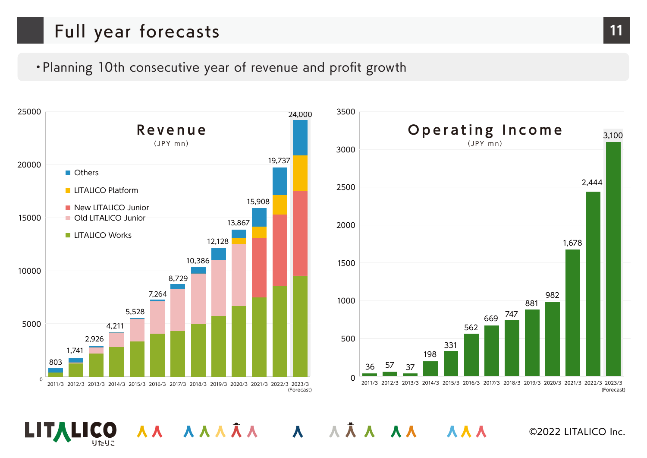### Full year forecasts **11**

### ・Planning 10th consecutive year of revenue and profit growth

AA AAAÂA A AÂA AA AAA



LIT**,** 

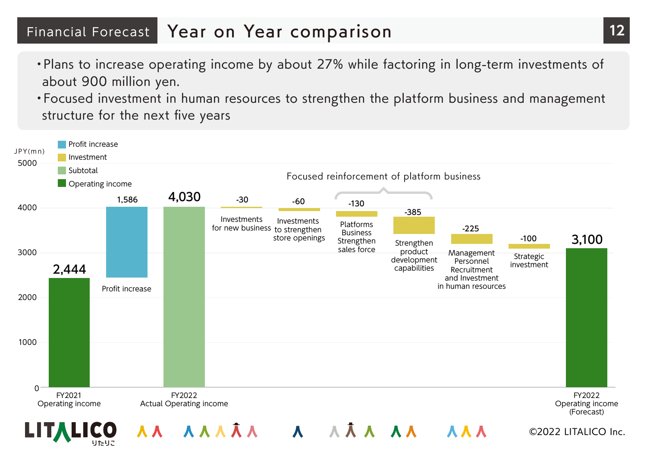### Financial Forecast Year on Year comparison **12**

- ・Plans to increase operating income by about 27% while factoring in long-term investments of about 900 million yen.
- ・Focused investment in human resources to strengthen the platform business and management structure for the next five years

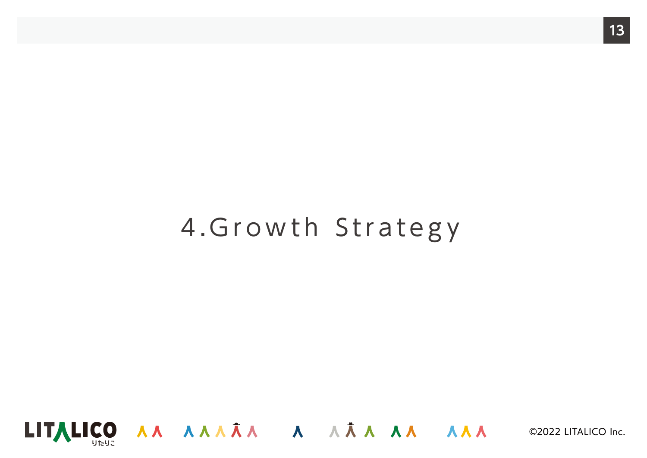# 4.Growth Strategy

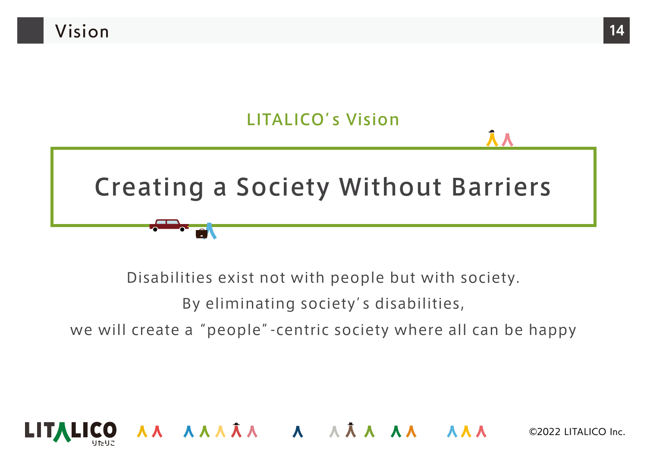

Disabilities exist not with people but with society.

By eliminating society's disabilities,

we will create a "people"-centric society where all can be happy

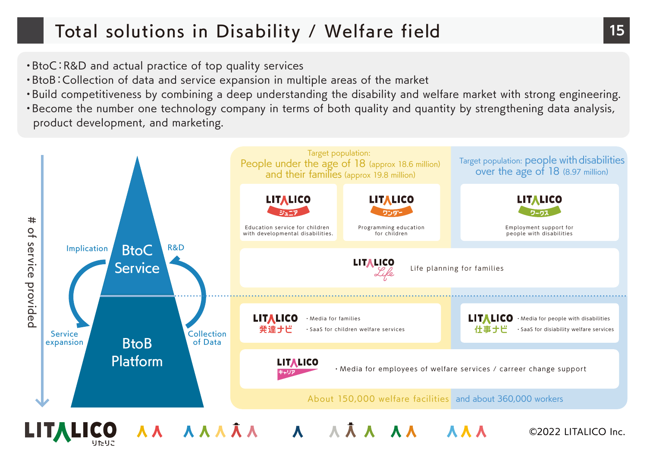## Total solutions in Disability / Welfare field **15**

- ・BtoC:R&D and actual practice of top quality services
- ・BtoB:Collection of data and service expansion in multiple areas of the market
- ・Build competitiveness by combining a deep understanding the disability and welfare market with strong engineering.
- ・Become the number one technology company in terms of both quality and quantity by strengthening data analysis, product development, and marketing.

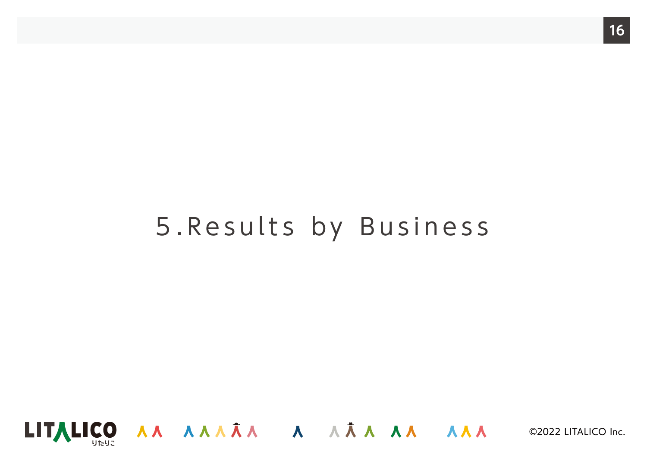# 5.Results by Business

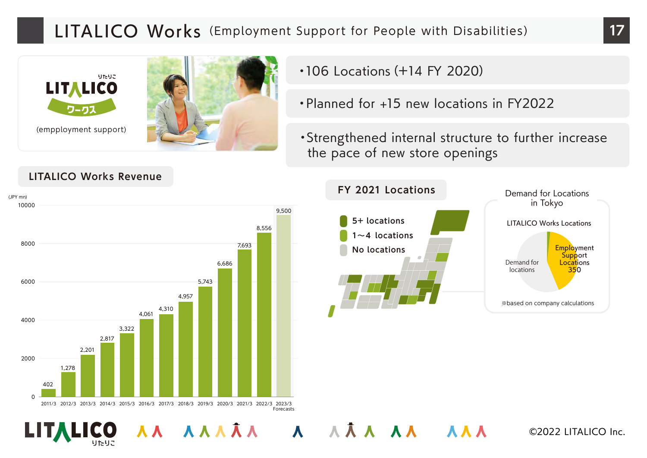### LITALICO Works (Employment Support for People with Disabilities) 17



- ・106 Locations(+14 FY 2020)
- ・Planned for +15 new locations in FY2022
- ・Strengthened internal structure to further increase the pace of new store openings



AAA AA AAA

#### **LITALICO Works Revenue**

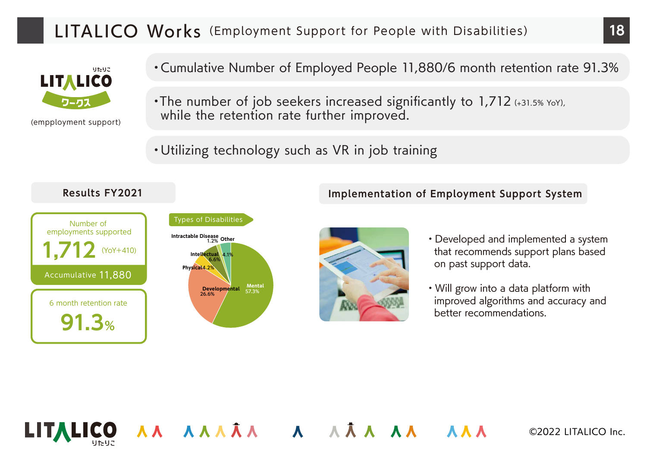### LITALICO Works (Employment Support for People with Disabilities) 18



(empployment support)

・Cumulative Number of Employed People 11,880/6 month retention rate 91.3%

- ・The number of job seekers increased significantly to 1,712 (+31.5% YoY), while the retention rate further improved.
- ・Utilizing technology such as VR in job training

AA AAAÂA A AÂA AA AAA

#### **Results FY2021**



#### **Other Intractable Disease** 1.2% **Intellectual** 4.1% **Physical** 4.2%  $Develo$ *mental* **Mental**<br>57.3% 6.6% 26.6% Types of Disabilities



・Developed and implemented a system that recommends support plans based on past support data.

**Implementation of Employment Support System**

・Will grow into a data platform with improved algorithms and accuracy and better recommendations.



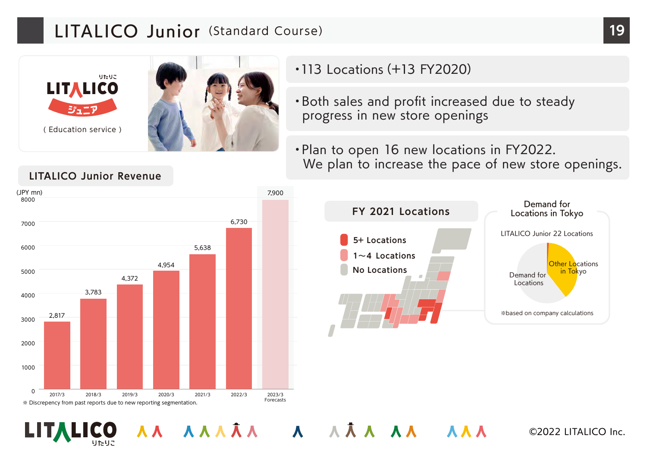### LITALICO Junior (Standard Course) **19**



・113 Locations(+13 FY2020)

AA AAAÂA A AÂA AA AAA

- ・Both sales and profit increased due to steady progress in new store openings
- ・Plan to open 16 new locations in FY2022. We plan to increase the pace of new store openings.



#### **LITALICO Junior Revenue**

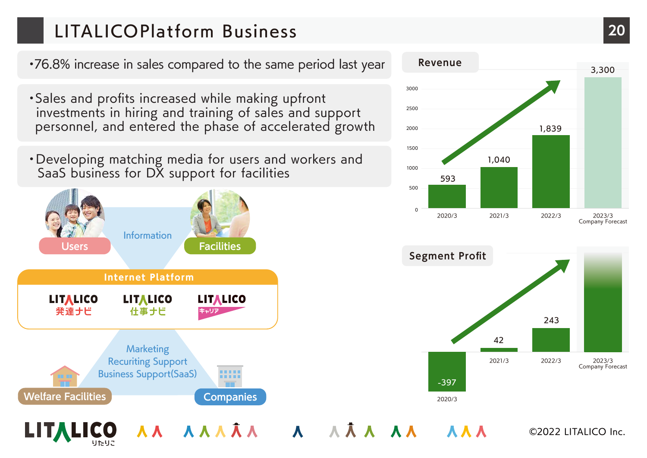## LITALICOPlat fo rm Business **20**

・76.8% increase in sales compared to the same period last year

- ・Sales and profits increased while making upfront investments in hiring and training of sales and support personnel, and entered the phase of accelerated growth
- ・Developing matching media for users and workers and SaaS business for DX support for facilities





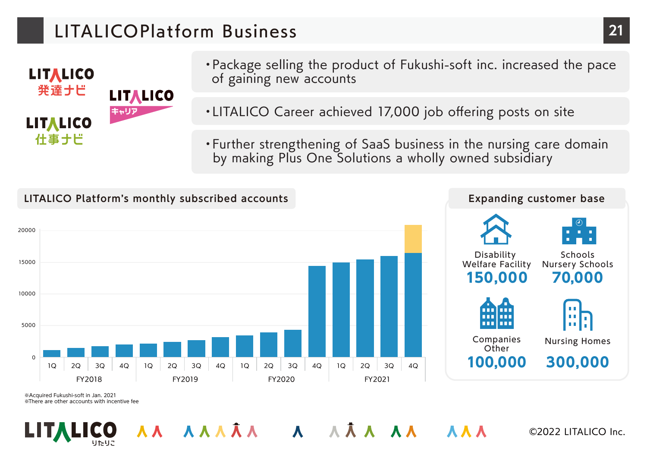### LITALICOPlat fo rm Business **21**



- ・Package selling the product of Fukushi-soft inc. increased the pace of gaining new accounts
- ・LITALICO Career achieved 17,000 job offering posts on site
- ・Further strengthening of SaaS business in the nursing care domain by making Plus One Solutions a wholly owned subsidiary



AA AAAA A AAA AA

※Acquired Fukushi-soft in Jan. 2021 ※There are other accounts with incentive fee



©2022 LITALICO Inc.

**AAA** 

Schools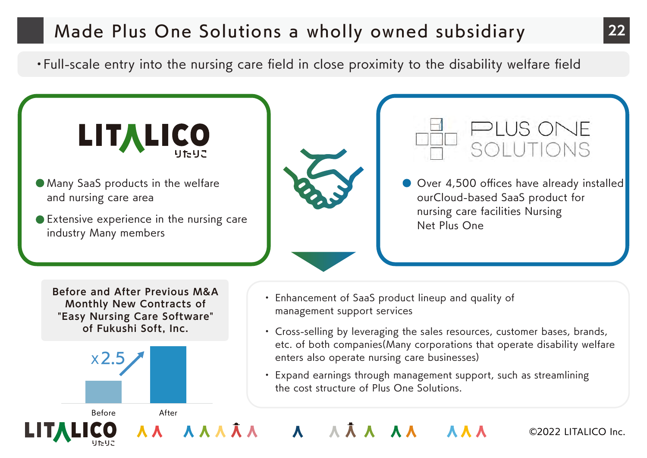### Made Plus One Solutions a wholly owned subsidiary **22**

・Full-scale entry into the nursing care field in close proximity to the disability welfare field

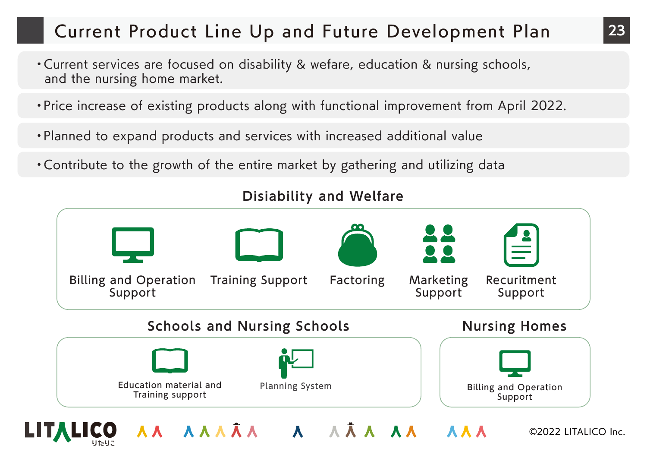### Current Product Line Up and Future Development Plan

- ・Current services are focused on disability & wefare, education & nursing schools, and the nursing home market.
- ・Price increase of existing products along with functional improvement from April 2022.
- ・Planned to expand products and services with increased additional value
- ・Contribute to the growth of the entire market by gathering and utilizing data

![](_page_22_Figure_5.jpeg)

### **Disiability and Welfare**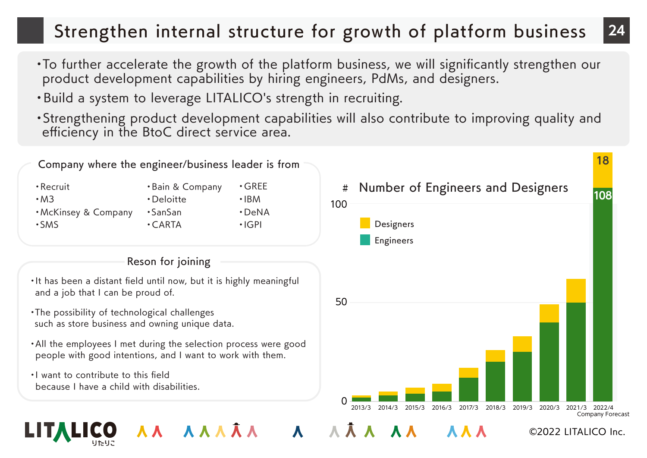### Strengthen internal structure for growth of platform business **24**

- ・To further accelerate the growth of the platform business, we will significantly strengthen our product development capabilities by hiring engineers, PdMs, and designers.
- ・Build a system to leverage LITALICO's strength in recruiting.
- ・Strengthening product development capabilities will also contribute to improving quality and efficiency in the BtoC direct service area.

![](_page_23_Figure_4.jpeg)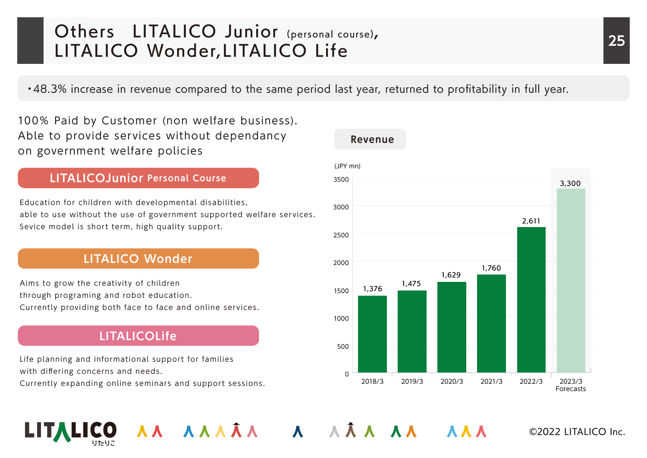### Others LITALICO Junior (personal course), 25 LITALICO Wonder, LITALICO Life

・48.3% increase in revenue compared to the same period last year, returned to profitability in full year.

AA AAAĀA A AĀA AA AAA

100% Paid by Customer (non welfare business). Able to provide services without dependancy on government welfare policies

#### **LITALICOJunior Personal Course**

Education for children with developmental disabilities, able to use without the use of government supported welfare services. Sevice model is short term, high quality support.

#### **LITALICO Wonder**

Aims to grow the creativity of children through programing and robot education. Currently providing both face to face and online services.

### **LITALICOLife**

Life planning and informational support for families with differing concerns and needs. Currently expanding online seminars and support sessions.

![](_page_24_Figure_9.jpeg)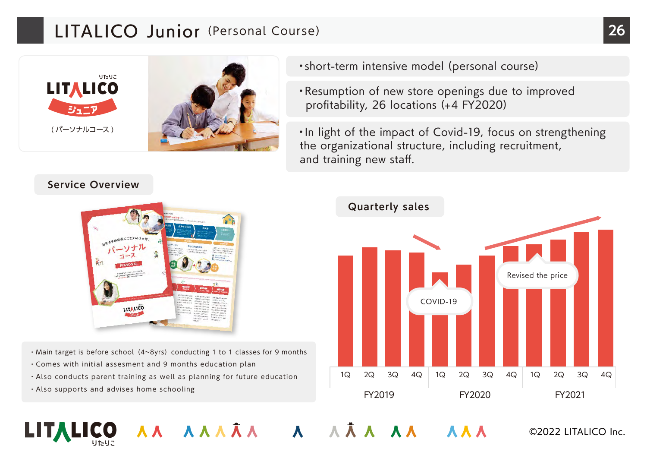### LITALICO Junior (Personal Course) 26

![](_page_25_Picture_1.jpeg)

#### **Service Overview**

![](_page_25_Picture_3.jpeg)

- Main target is before school (4~8yrs) conducting 1 to 1 classes for 9 months
- ・Comes with initial assesment and 9 months education plan
- ・Also conducts parent training as well as planning for future education
- ・Also supports and advises home schooling

![](_page_25_Picture_8.jpeg)

- ・Resumption of new store openings due to improved profitability, 26 locations (+4 FY2020)
- ・In light of the impact of Covid-19, focus on strengthening the organizational structure, including recruitment, and training new staff.

![](_page_25_Figure_11.jpeg)

AA AAAĀA A AĀA AA AAA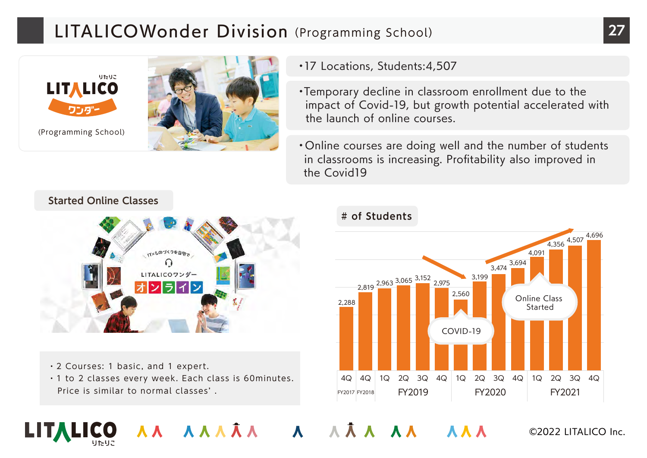### LITALICOWonder Division (Programming School) 27

![](_page_26_Picture_1.jpeg)

- ・17 Locations, Students:4,507
- ・Temporary decline in classroom enrollment due to the impact of Covid-19, but growth potential accelerated with the launch of online courses.
- ・Online courses are doing well and the number of students in classrooms is increasing. Profitability also improved in the Covid19

**Started Online Classes**

![](_page_26_Picture_6.jpeg)

- ・2 Courses: 1 basic, and 1 expert.
- ・1 to 2 classes every week. Each class is 60minutes. Price is similar to normal classes' .

#### **# of Students**

AA AAAÂA A AÂA AA AAA

![](_page_26_Figure_10.jpeg)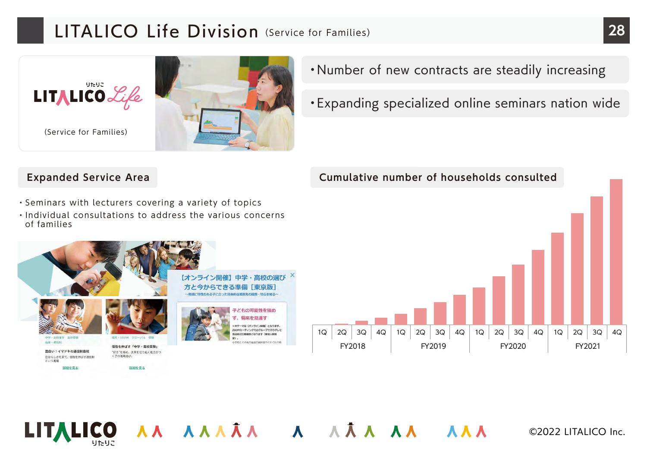### LITALICO Life Division (Service for Families) **28**

![](_page_27_Picture_1.jpeg)

- ・Number of new contracts are steadily increasing
- ・Expanding specialized online seminars nation wide

#### **Expanded Service Area Cumulative number of households consulted**

中学・高校の選び | 雷高版 ネテーマは [オンライン開催] となります OOMミーティングでのグループで行うテレビ 1Q 2Q 3Q 4Q 1Q 2Q 3Q 4Q 1Q 2Q 3Q 4Q 1Q 2Q 3Q 4Q の勉強会となります (参加人数) CREDとその年の運営の温度時のそれぞれ FY2018 FY2019 FY2020 FY2021

AA AAAĀA A AĀA AA AAA

- ・Seminars with lecturers covering a variety of topics
- ・Individual consultations to address the various concerns of families

![](_page_27_Picture_8.jpeg)

![](_page_27_Picture_9.jpeg)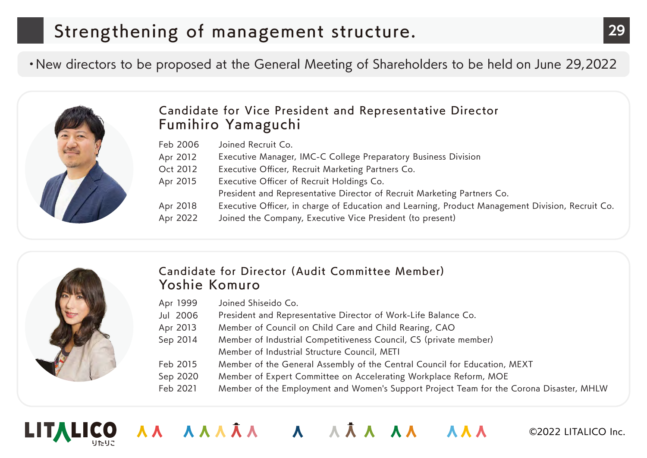## Strengthening of management structure. **29**

・New directors to be proposed at the General Meeting of Shareholders to be held on June 29,2022

![](_page_28_Picture_2.jpeg)

### Candidate for Vice President and Representative Director Fumihiro Yamaguchi

| Feb 2006 | Joined Recruit Co.                                                                               |
|----------|--------------------------------------------------------------------------------------------------|
| Apr 2012 | Executive Manager, IMC-C College Preparatory Business Division                                   |
| Oct 2012 | Executive Officer, Recruit Marketing Partners Co.                                                |
| Apr 2015 | Executive Officer of Recruit Holdings Co.                                                        |
|          | President and Representative Director of Recruit Marketing Partners Co.                          |
| Apr 2018 | Executive Officer, in charge of Education and Learning, Product Management Division, Recruit Co. |
| Apr 2022 | Joined the Company, Executive Vice President (to present)                                        |

![](_page_28_Picture_5.jpeg)

#### Candidate for Director (Audit Committee Member) Yoshie Komuro

- Apr 1999 Joined Shiseido Co.
- Jul 2006 President and Representative Director of Work-Life Balance Co.
- Apr 2013 Member of Council on Child Care and Child Rearing, CAO

AAA AAA A A A AAA AAA

- Sep 2014 Member of Industrial Competitiveness Council, CS (private member) Member of Industrial Structure Council, METI
- Feb 2015 Member of the General Assembly of the Central Council for Education, MEXT
- Sep 2020 Member of Expert Committee on Accelerating Workplace Reform, MOE
- Feb 2021 Member of the Employment and Women's Support Project Team for the Corona Disaster, MHLW

![](_page_28_Picture_14.jpeg)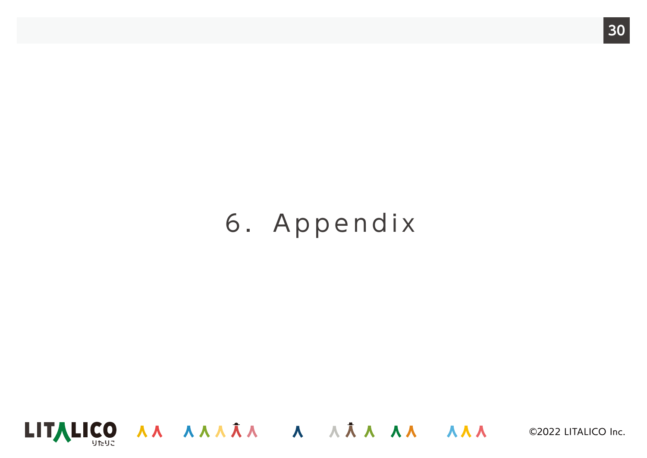# 6.Appendix

![](_page_29_Picture_1.jpeg)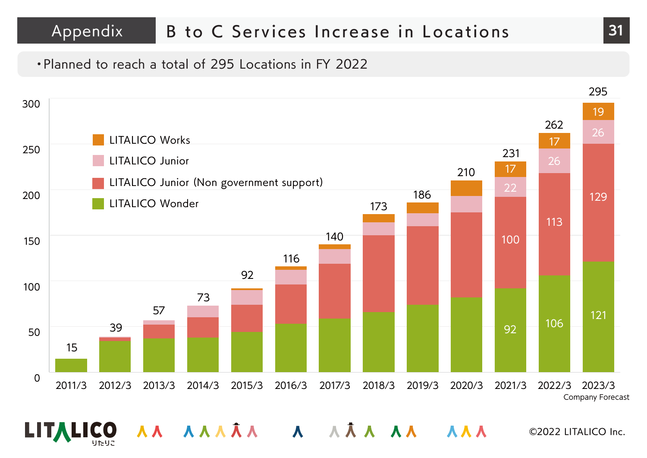### Appendix B to C Services Increase in Locations **31**

#### ・Planned to reach a total of 295 Locations in FY 2022

![](_page_30_Figure_2.jpeg)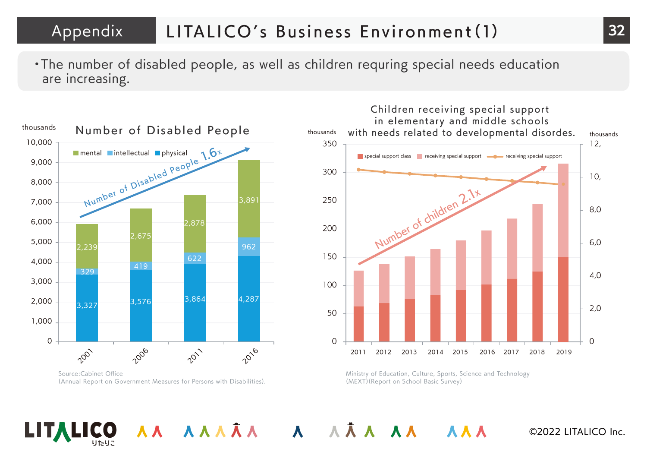Appendix LITALICO's Business Environment(1) 32

AA AAAA A AAA AA

・The number of disabled people, as well as children requring special needs education are increasing.

![](_page_31_Figure_2.jpeg)

Source:Cabinet Office (Annual Report on Government Measures for Persons with Disabilities).

![](_page_31_Figure_4.jpeg)

Ministry of Education, Culture, Sports, Science and Technology (MEXT)(Report on School Basic Survey)

**AAA**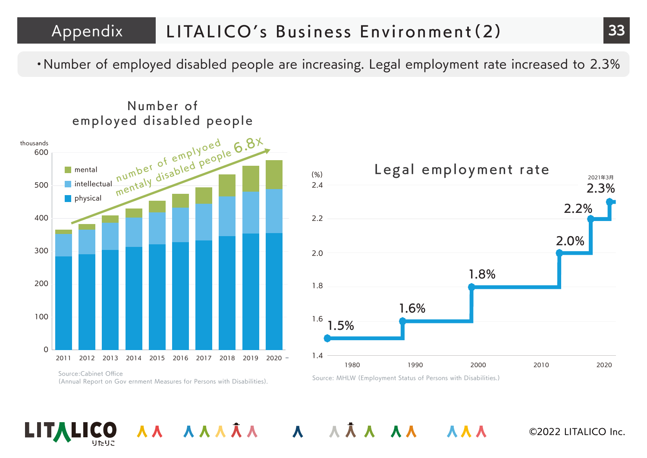### Appendix LITALICO's Business Environment (2) 33

AA AAAA A AAA AA

・Number of employed disabled people are increasing. Legal employment rate increased to 2.3%

![](_page_32_Figure_2.jpeg)

Number of

![](_page_32_Figure_4.jpeg)

**AAA** 

Source: MHLW (Employment Status of Persons with Disabilities.)

Source:Cabinet Office (Annual Report on Gov ernment Measures for Persons with Disabilities).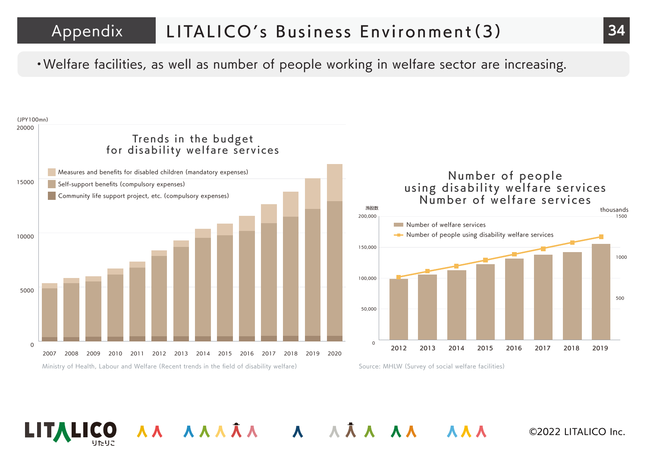### Appendix LITALICO's Business Environment (3)

・Welfare facilities, as well as number of people working in welfare sector are increasing.

![](_page_33_Figure_2.jpeg)

AA AĀA A AĀAAA AA

©2022 LITALICO Inc.

88 A A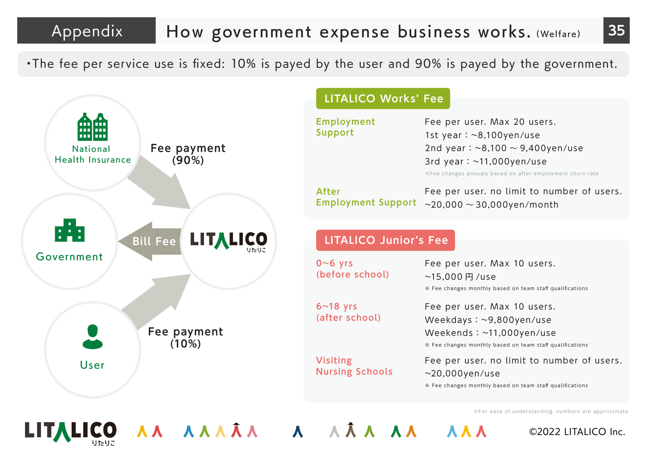### Appendix How government expense business works. (Welfare) 35

・The fee per service use is fixed: 10% is payed by the user and 90% is payed by the government.

![](_page_34_Figure_2.jpeg)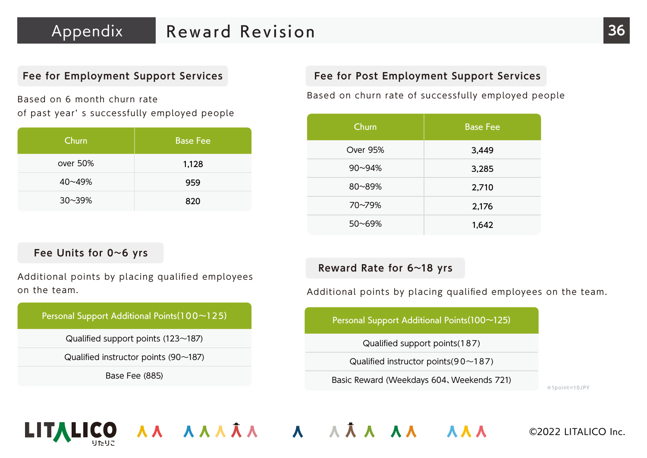Based on 6 month churn rate of past year' s successfully employed people

| Churn      | <b>Base Fee</b> |
|------------|-----------------|
| over 50%   | 1,128           |
| 40~49%     | 959             |
| $30 - 39%$ | 820             |

#### **Fee Units for 0~6 yrs**

Additional points by placing qualified employees on the team.

#### Personal Support Additional Points(100~125)

Qualified support points (123~187)

Qualified instructor points (90~187)

Base Fee (885)

#### **Fee for Employment Support Services Fee for Post Employment Support Services**

Based on churn rate of successfully employed people

| Churn      | <b>Base Fee</b> |
|------------|-----------------|
| Over 95%   | 3,449           |
| $90 - 94%$ | 3,285           |
| 80~89%     | 2,710           |
| 70~79%     | 2,176           |
| $50 - 69%$ | 1,642           |

**Reward Rate for 6~18 yrs**

AA AAAĀA A AĀA AA AAA

Additional points by placing qualified employees on the team.

Personal Support Additional Points(100~125)

Qualified support points(187)

Qualified instructor points  $(90~187)$ 

Basic Reward (Weekdays 604、Weekends 721)

※1point=10JPY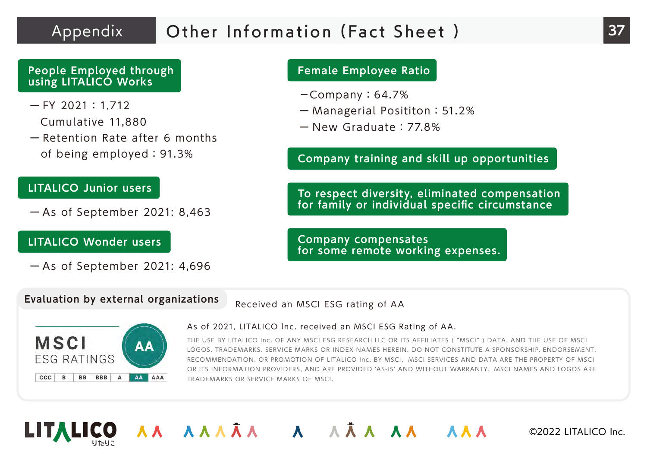### Appendix Other Information (Fact Sheet ) **37**

#### **People Employed through using LITALICO Works**

 $-$  FY 2021: 1.712

Cumulative 11,880

ー Retention Rate after 6 months of being employed:91.3%

#### **LITALICO Junior users**

ー As of September 2021: 8,463

#### **LITALICO Wonder users**

ー As of September 2021: 4,696

#### **Female Employee Ratio**

- $-$ Company: 64.7%
- ー Managerial Posititon:51.2%
- ー New Graduate:77.8%

**Company training and skill up opportunities**

**To respect diversity, eliminated compensation for family or individual specific circumstance**

**AAA** 

**Company compensates for some remote working expenses.**

#### **Evaluation by external organizations**

Received an MSCI ESG rating of AA

![](_page_36_Picture_19.jpeg)

#### As of 2021, LITALICO lnc. received an MSCI ESG Rating of AA.

THE USE BY LITALICO Inc. OF ANY MSCI ESG RESEARCH LLC OR ITS AFFILIATES ( "MSCI" ) DATA, AND THE USE OF MSCI LOGOS, TRADEMARKS, SERVICE MARKS OR INDEX NAMES HEREIN, DO NOT CONSTITUTE A SPONSORSHIP, ENDORSEMENT, RECOMMENDATION, OR PROMOTION OF LITALICO Inc. BY MSCI. MSCI SERVICES AND DATA ARE THE PROPERTY OF MSCI OR ITS INFORMATION PROVIDERS, AND ARE PROVIDED ʻAS-IS' AND WITHOUT WARRANTY. MSCI NAMES AND LOGOS ARE TRADEMARKS OR SERVICE MARKS OF MSCI.

![](_page_36_Picture_22.jpeg)